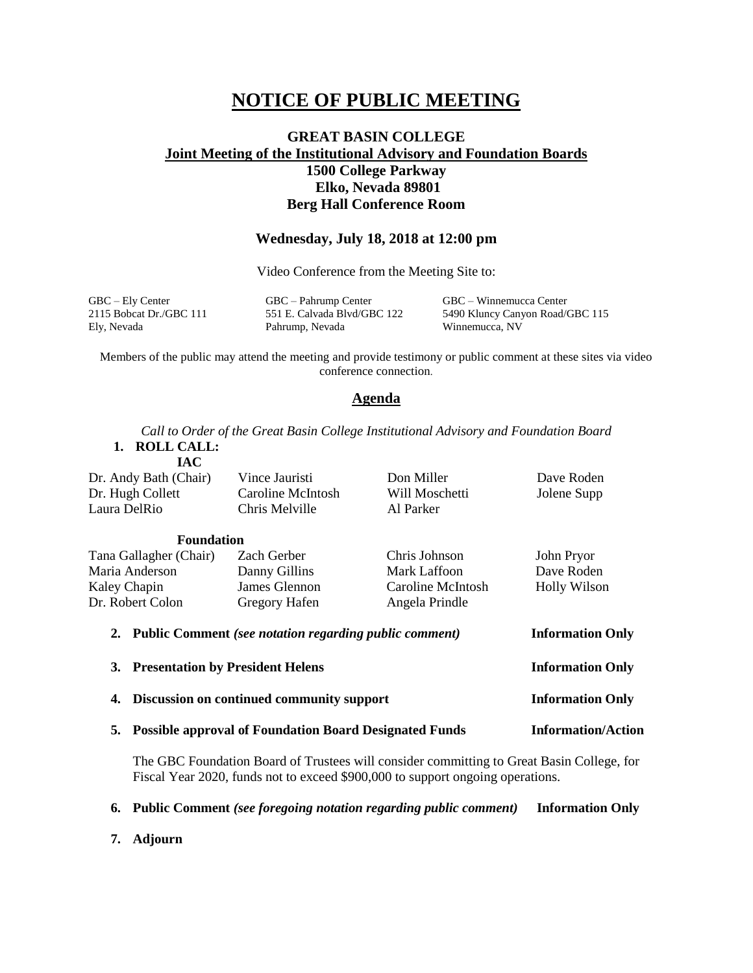# **NOTICE OF PUBLIC MEETING**

## **GREAT BASIN COLLEGE Joint Meeting of the Institutional Advisory and Foundation Boards 1500 College Parkway Elko, Nevada 89801 Berg Hall Conference Room**

### **Wednesday, July 18, 2018 at 12:00 pm**

Video Conference from the Meeting Site to:

GBC – Ely Center GBC – Pahrump Center GBC – Winnemucca Center 2115 Bobcat Dr./GBC 111 551 E. Calvada Blvd/GBC 122 5490 Kluncy Canyon Road/GBC 115 Ely, Nevada Pahrump, Nevada Winnemucca, NV

Members of the public may attend the meeting and provide testimony or public comment at these sites via video conference connection.

#### **Agenda**

*Call to Order of the Great Basin College Institutional Advisory and Foundation Board* **1. ROLL CALL:**

**IAC**

Dr. Andy Bath (Chair) Dr. Hugh Collett Laura DelRio Vince Jauristi Caroline McIntosh Chris Melville Don Miller Will Moschetti Al Parker Dave Roden Jolene Supp

| <b>Foundation</b>                                         |               |                   |                         |
|-----------------------------------------------------------|---------------|-------------------|-------------------------|
| Tana Gallagher (Chair)                                    | Zach Gerber   | Chris Johnson     | John Pryor              |
| Maria Anderson                                            | Danny Gillins | Mark Laffoon      | Dave Roden              |
| Kaley Chapin                                              | James Glennon | Caroline McIntosh | Holly Wilson            |
| Dr. Robert Colon                                          | Gregory Hafen | Angela Prindle    |                         |
| 2. Public Comment (see notation regarding public comment) |               |                   | <b>Information Only</b> |

**3. Presentation by President Helens Information Only 4. Discussion on continued community support Information Only 5. Possible approval of Foundation Board Designated Funds Information/Action**

The GBC Foundation Board of Trustees will consider committing to Great Basin College, for Fiscal Year 2020, funds not to exceed \$900,000 to support ongoing operations.

**6. Public Comment** *(see foregoing notation regarding public comment)* **Information Only**

**7. Adjourn**